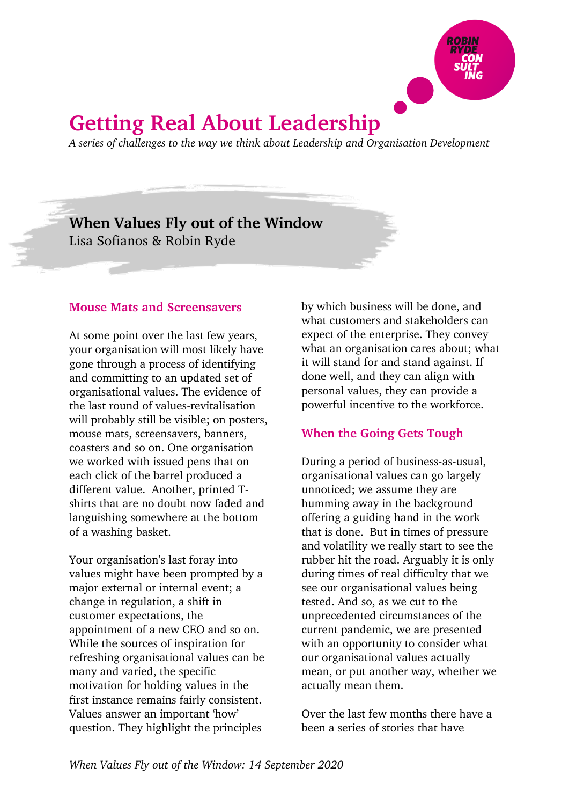

# **Getting Real About Leadership**

*A series of challenges to the way we think about Leadership and Organisation Development*

**When Values Fly out of the Window** Lisa Sofianos & Robin Ryde

### **Mouse Mats and Screensavers**

At some point over the last few years, your organisation will most likely have gone through a process of identifying and committing to an updated set of organisational values. The evidence of the last round of values-revitalisation will probably still be visible; on posters, mouse mats, screensavers, banners, coasters and so on. One organisation we worked with issued pens that on each click of the barrel produced a different value. Another, printed Tshirts that are no doubt now faded and languishing somewhere at the bottom of a washing basket.

Your organisation's last foray into values might have been prompted by a major external or internal event; a change in regulation, a shift in customer expectations, the appointment of a new CEO and so on. While the sources of inspiration for refreshing organisational values can be many and varied, the specific motivation for holding values in the first instance remains fairly consistent. Values answer an important 'how' question. They highlight the principles

by which business will be done, and what customers and stakeholders can expect of the enterprise. They convey what an organisation cares about; what it will stand for and stand against. If done well, and they can align with personal values, they can provide a powerful incentive to the workforce.

# **When the Going Gets Tough**

During a period of business-as-usual, organisational values can go largely unnoticed; we assume they are humming away in the background offering a guiding hand in the work that is done. But in times of pressure and volatility we really start to see the rubber hit the road. Arguably it is only during times of real difficulty that we see our organisational values being tested. And so, as we cut to the unprecedented circumstances of the current pandemic, we are presented with an opportunity to consider what our organisational values actually mean, or put another way, whether we actually mean them.

Over the last few months there have a been a series of stories that have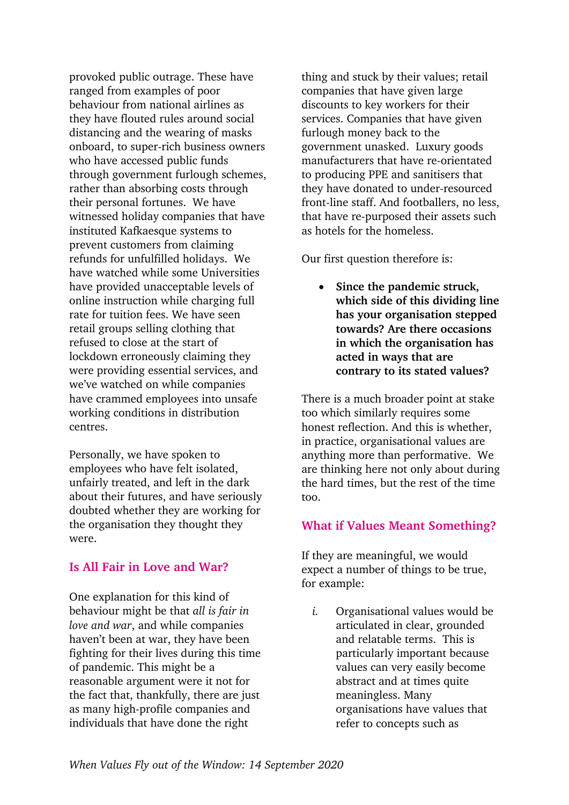provoked public outrage. These have ranged from examples of poor behaviour from national airlines as they have flouted rules around social distancing and the wearing of masks onboard, to super-rich business owners who have accessed public funds through government furlough schemes, rather than absorbing costs through their personal fortunes. We have witnessed holiday companies that have instituted Kafkaesque systems to prevent customers from claiming refunds for unfulfilled holidays. We have watched while some Universities have provided unacceptable levels of online instruction while charging full rate for tuition fees. We have seen retail groups selling clothing that refused to close at the start of lockdown erroneously claiming they were providing essential services, and we've watched on while companies have crammed employees into unsafe working conditions in distribution centres.

Personally, we have spoken to employees who have felt isolated, unfairly treated, and left in the dark about their futures, and have seriously doubted whether they are working for the organisation they thought they were.

#### **Is All Fair in Love and War?**

One explanation for this kind of behaviour might be that *all is fair in love and war*, and while companies haven't been at war, they have been fighting for their lives during this time of pandemic. This might be a reasonable argument were it not for the fact that, thankfully, there are just as many high-profile companies and individuals that have done the right

thing and stuck by their values; retail companies that have given large discounts to key workers for their services. Companies that have given furlough money back to the government unasked. Luxury goods manufacturers that have re-orientated to producing PPE and sanitisers that they have donated to under-resourced front-line staff. And footballers, no less, that have re-purposed their assets such as hotels for the homeless.

Our first question therefore is:

• **Since the pandemic struck, which side of this dividing line has your organisation stepped towards? Are there occasions in which the organisation has acted in ways that are contrary to its stated values?**

There is a much broader point at stake too which similarly requires some honest reflection. And this is whether, in practice, organisational values are anything more than performative. We are thinking here not only about during the hard times, but the rest of the time too.

## **What if Values Meant Something?**

If they are meaningful, we would expect a number of things to be true, for example:

*i.* Organisational values would be articulated in clear, grounded and relatable terms. This is particularly important because values can very easily become abstract and at times quite meaningless. Many organisations have values that refer to concepts such as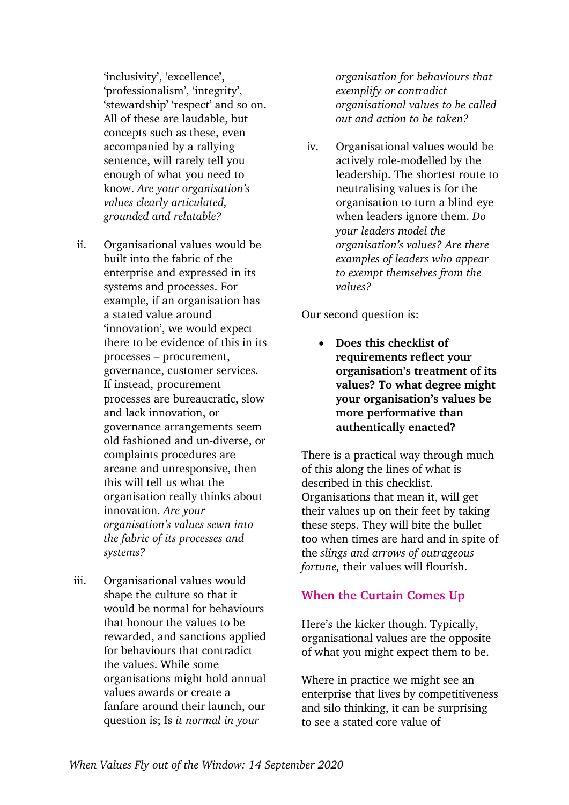'inclusivity', 'excellence', 'professionalism', 'integrity', 'stewardship' 'respect' and so on. All of these are laudable, but concepts such as these, even accompanied by a rallying sentence, will rarely tell you enough of what you need to know. *Are your organisation's values clearly articulated, grounded and relatable?*

- ii. Organisational values would be built into the fabric of the enterprise and expressed in its systems and processes. For example, if an organisation has a stated value around 'innovation', we would expect there to be evidence of this in its processes – procurement, governance, customer services. If instead, procurement processes are bureaucratic, slow and lack innovation, or governance arrangements seem old fashioned and un-diverse, or complaints procedures are arcane and unresponsive, then this will tell us what the organisation really thinks about innovation. *Are your organisation's values sewn into the fabric of its processes and systems?*
- iii. Organisational values would shape the culture so that it would be normal for behaviours that honour the values to be rewarded, and sanctions applied for behaviours that contradict the values. While some organisations might hold annual values awards or create a fanfare around their launch, our question is; Is *it normal in your*

*organisation for behaviours that exemplify or contradict organisational values to be called out and action to be taken?*

iv. Organisational values would be actively role-modelled by the leadership. The shortest route to neutralising values is for the organisation to turn a blind eye when leaders ignore them. *Do your leaders model the organisation's values? Are there examples of leaders who appear to exempt themselves from the values?*

Our second question is:

• **Does this checklist of requirements reflect your organisation's treatment of its values? To what degree might your organisation's values be more performative than authentically enacted?**

There is a practical way through much of this along the lines of what is described in this checklist. Organisations that mean it, will get their values up on their feet by taking these steps. They will bite the bullet too when times are hard and in spite of the *slings and arrows of outrageous fortune,* their values will flourish.

# **When the Curtain Comes Up**

Here's the kicker though. Typically, organisational values are the opposite of what you might expect them to be.

Where in practice we might see an enterprise that lives by competitiveness and silo thinking, it can be surprising to see a stated core value of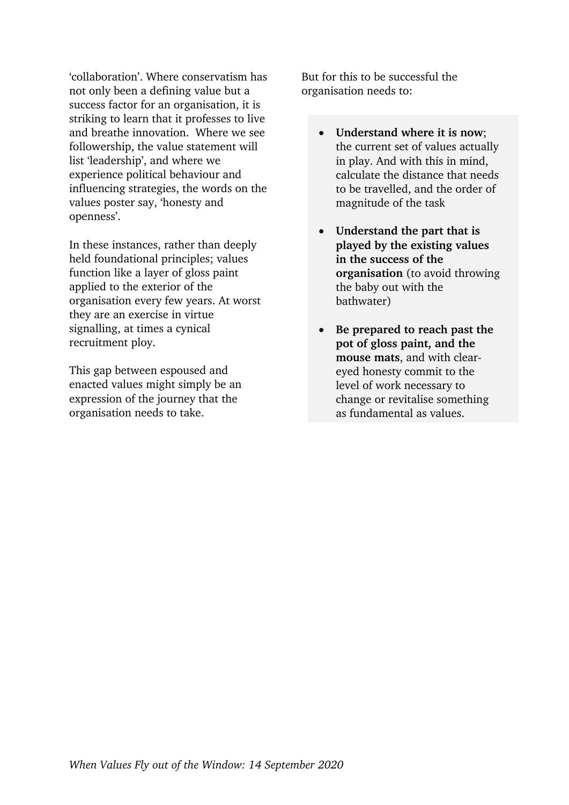'collaboration'. Where conservatism has not only been a defining value but a success factor for an organisation, it is striking to learn that it professes to live and breathe innovation. Where we see followership, the value statement will list 'leadership', and where we experience political behaviour and influencing strategies, the words on the values poster say, 'honesty and openness'.

In these instances, rather than deeply held foundational principles; values function like a layer of gloss paint applied to the exterior of the organisation every few years. At worst they are an exercise in virtue signalling, at times a cynical recruitment ploy.

This gap between espoused and enacted values might simply be an expression of the journey that the organisation needs to take.

But for this to be successful the organisation needs to:

- **Understand where it is now**; the current set of values actually in play. And with this in mind, calculate the distance that needs to be travelled, and the order of magnitude of the task
- **Understand the part that is played by the existing values in the success of the organisation** (to avoid throwing the baby out with the bathwater)
- **Be prepared to reach past the pot of gloss paint, and the mouse mats**, and with cleareyed honesty commit to the level of work necessary to change or revitalise something as fundamental as values.